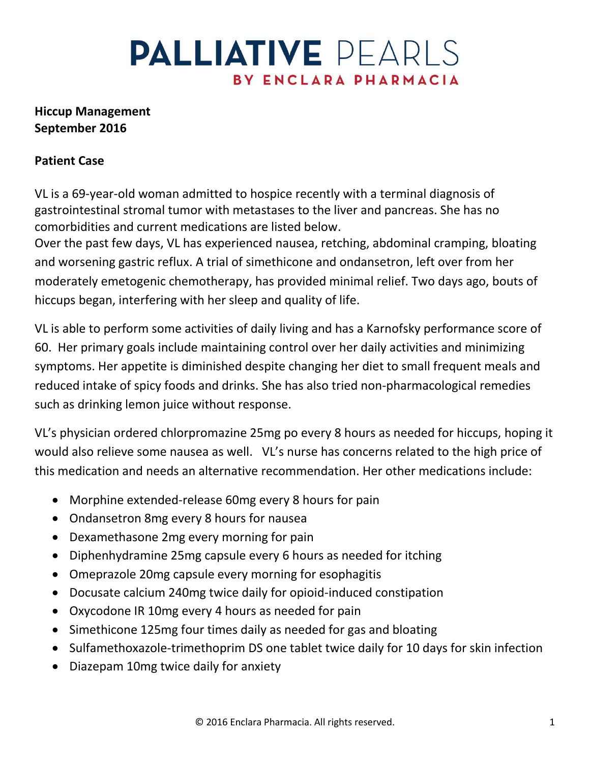## **Hiccup Management September 2016**

### **Patient Case**

VL is a 69-year-old woman admitted to hospice recently with a terminal diagnosis of gastrointestinal stromal tumor with metastases to the liver and pancreas. She has no comorbidities and current medications are listed below.

Over the past few days, VL has experienced nausea, retching, abdominal cramping, bloating and worsening gastric reflux. A trial of simethicone and ondansetron, left over from her moderately emetogenic chemotherapy, has provided minimal relief. Two days ago, bouts of hiccups began, interfering with her sleep and quality of life.

VL is able to perform some activities of daily living and has a Karnofsky performance score of 60. Her primary goals include maintaining control over her daily activities and minimizing symptoms. Her appetite is diminished despite changing her diet to small frequent meals and reduced intake of spicy foods and drinks. She has also tried non-pharmacological remedies such as drinking lemon juice without response.

VL's physician ordered chlorpromazine 25mg po every 8 hours as needed for hiccups, hoping it would also relieve some nausea as well. VL's nurse has concerns related to the high price of this medication and needs an alternative recommendation. Her other medications include:

- Morphine extended-release 60mg every 8 hours for pain
- Ondansetron 8mg every 8 hours for nausea
- Dexamethasone 2mg every morning for pain
- Diphenhydramine 25mg capsule every 6 hours as needed for itching
- Omeprazole 20mg capsule every morning for esophagitis
- Docusate calcium 240mg twice daily for opioid-induced constipation
- Oxycodone IR 10mg every 4 hours as needed for pain
- Simethicone 125mg four times daily as needed for gas and bloating
- Sulfamethoxazole-trimethoprim DS one tablet twice daily for 10 days for skin infection
- Diazepam 10mg twice daily for anxiety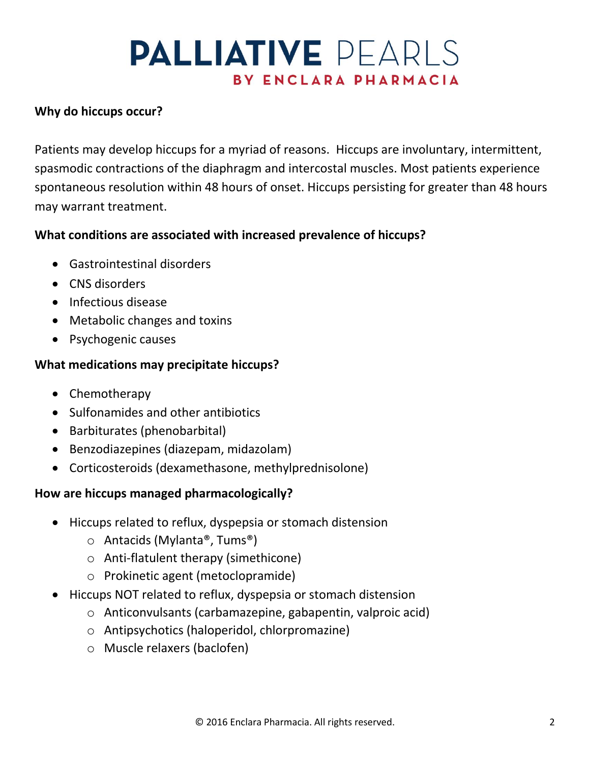## **Why do hiccups occur?**

Patients may develop hiccups for a myriad of reasons. Hiccups are involuntary, intermittent, spasmodic contractions of the diaphragm and intercostal muscles. Most patients experience spontaneous resolution within 48 hours of onset. Hiccups persisting for greater than 48 hours may warrant treatment.

### **What conditions are associated with increased prevalence of hiccups?**

- Gastrointestinal disorders
- CNS disorders
- Infectious disease
- Metabolic changes and toxins
- Psychogenic causes

### **What medications may precipitate hiccups?**

- Chemotherapy
- Sulfonamides and other antibiotics
- Barbiturates (phenobarbital)
- Benzodiazepines (diazepam, midazolam)
- Corticosteroids (dexamethasone, methylprednisolone)

### **How are hiccups managed pharmacologically?**

- Hiccups related to reflux, dyspepsia or stomach distension
	- o Antacids (Mylanta®, Tums®)
	- o Anti-flatulent therapy (simethicone)
	- o Prokinetic agent (metoclopramide)
- Hiccups NOT related to reflux, dyspepsia or stomach distension
	- o Anticonvulsants (carbamazepine, gabapentin, valproic acid)
	- o Antipsychotics (haloperidol, chlorpromazine)
	- o Muscle relaxers (baclofen)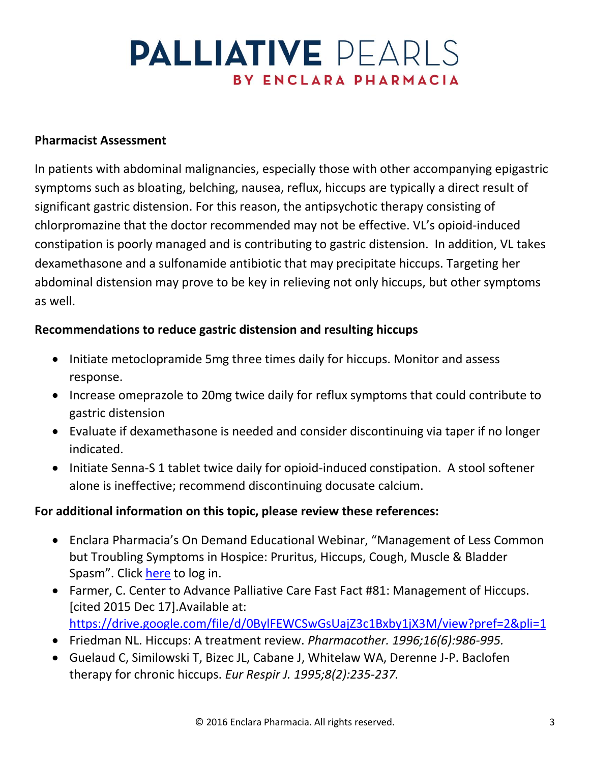#### **Pharmacist Assessment**

In patients with abdominal malignancies, especially those with other accompanying epigastric symptoms such as bloating, belching, nausea, reflux, hiccups are typically a direct result of significant gastric distension. For this reason, the antipsychotic therapy consisting of chlorpromazine that the doctor recommended may not be effective. VL's opioid-induced constipation is poorly managed and is contributing to gastric distension. In addition, VL takes dexamethasone and a sulfonamide antibiotic that may precipitate hiccups. Targeting her abdominal distension may prove to be key in relieving not only hiccups, but other symptoms as well.

#### **Recommendations to reduce gastric distension and resulting hiccups**

- Initiate metoclopramide 5mg three times daily for hiccups. Monitor and assess response.
- Increase omeprazole to 20mg twice daily for reflux symptoms that could contribute to gastric distension
- Evaluate if dexamethasone is needed and consider discontinuing via taper if no longer indicated.
- Initiate Senna-S 1 tablet twice daily for opioid-induced constipation. A stool softener alone is ineffective; recommend discontinuing docusate calcium.

#### **For additional information on this topic, please review these references:**

- Enclara Pharmacia's On Demand Educational Webinar, "Management of Less Common but Troubling Symptoms in Hospice: Pruritus, Hiccups, Cough, Muscle & Bladder Spasm". Click [here](http://www.enclarapharmacia.com/client-portal/) to log in.
- Farmer, C. Center to Advance Palliative Care Fast Fact #81: Management of Hiccups. [cited 2015 Dec 17].Available at: <https://drive.google.com/file/d/0BylFEWCSwGsUajZ3c1Bxby1jX3M/view?pref=2&pli=1>
- Friedman NL. Hiccups: A treatment review. *Pharmacother. 1996;16(6):986-995.*
- Guelaud C, Similowski T, Bizec JL, Cabane J, Whitelaw WA, Derenne J-P. Baclofen therapy for chronic hiccups. *Eur Respir J. 1995;8(2):235-237.*